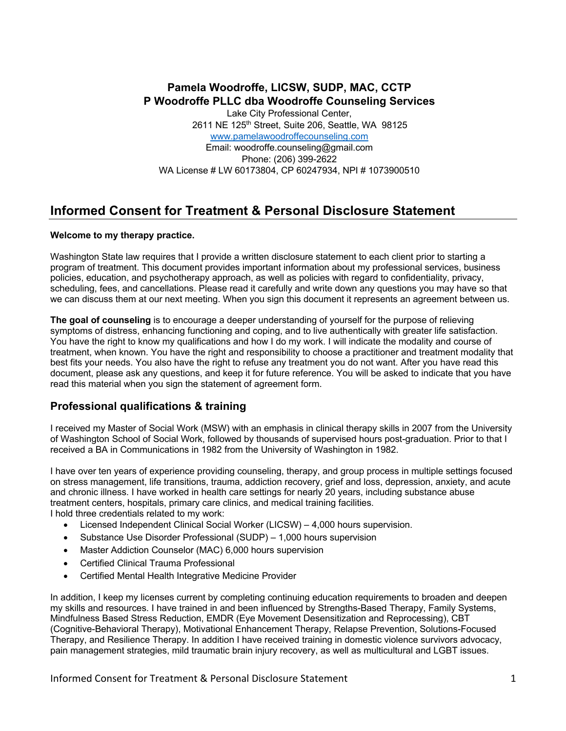# **Pamela Woodroffe, LICSW, SUDP, MAC, CCTP P Woodroffe PLLC dba Woodroffe Counseling Services**

Lake City Professional Center, 2611 NE 125<sup>th</sup> Street, Suite 206, Seattle, WA 98125 www.pamelawoodroffecounseling.com Email: woodroffe.counseling@gmail.com Phone: (206) 399-2622 WA License # LW 60173804, CP 60247934, NPI # 1073900510

# **Informed Consent for Treatment & Personal Disclosure Statement**

#### **Welcome to my therapy practice.**

Washington State law requires that I provide a written disclosure statement to each client prior to starting a program of treatment. This document provides important information about my professional services, business policies, education, and psychotherapy approach, as well as policies with regard to confidentiality, privacy, scheduling, fees, and cancellations. Please read it carefully and write down any questions you may have so that we can discuss them at our next meeting. When you sign this document it represents an agreement between us.

**The goal of counseling** is to encourage a deeper understanding of yourself for the purpose of relieving symptoms of distress, enhancing functioning and coping, and to live authentically with greater life satisfaction. You have the right to know my qualifications and how I do my work. I will indicate the modality and course of treatment, when known. You have the right and responsibility to choose a practitioner and treatment modality that best fits your needs. You also have the right to refuse any treatment you do not want. After you have read this document, please ask any questions, and keep it for future reference. You will be asked to indicate that you have read this material when you sign the statement of agreement form.

### **Professional qualifications & training**

I received my Master of Social Work (MSW) with an emphasis in clinical therapy skills in 2007 from the University of Washington School of Social Work, followed by thousands of supervised hours post-graduation. Prior to that I received a BA in Communications in 1982 from the University of Washington in 1982.

I have over ten years of experience providing counseling, therapy, and group process in multiple settings focused on stress management, life transitions, trauma, addiction recovery, grief and loss, depression, anxiety, and acute and chronic illness. I have worked in health care settings for nearly 20 years, including substance abuse treatment centers, hospitals, primary care clinics, and medical training facilities.

I hold three credentials related to my work:

- Licensed Independent Clinical Social Worker (LICSW) 4,000 hours supervision.
- Substance Use Disorder Professional (SUDP) 1,000 hours supervision
- Master Addiction Counselor (MAC) 6,000 hours supervision
- Certified Clinical Trauma Professional
- Certified Mental Health Integrative Medicine Provider

In addition, I keep my licenses current by completing continuing education requirements to broaden and deepen my skills and resources. I have trained in and been influenced by Strengths-Based Therapy, Family Systems, Mindfulness Based Stress Reduction, EMDR (Eye Movement Desensitization and Reprocessing), CBT (Cognitive-Behavioral Therapy), Motivational Enhancement Therapy, Relapse Prevention, Solutions-Focused Therapy, and Resilience Therapy. In addition I have received training in domestic violence survivors advocacy, pain management strategies, mild traumatic brain injury recovery, as well as multicultural and LGBT issues.

Informed Consent for Treatment & Personal Disclosure Statement 1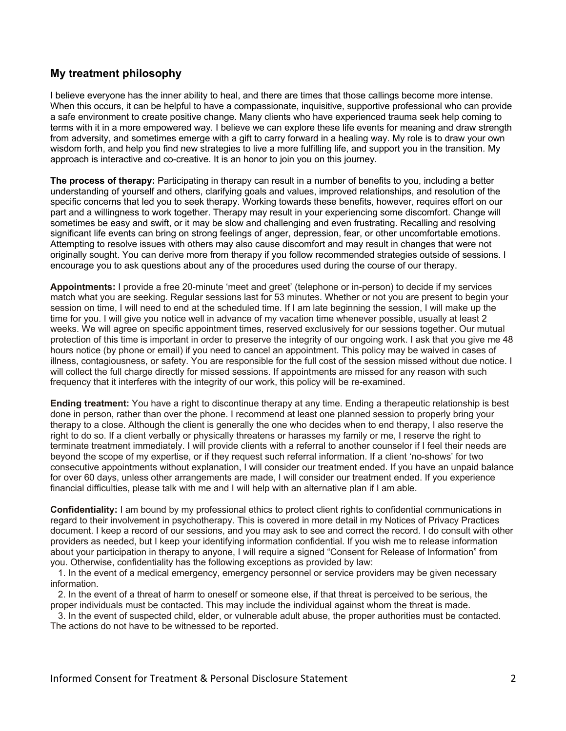## **My treatment philosophy**

I believe everyone has the inner ability to heal, and there are times that those callings become more intense. When this occurs, it can be helpful to have a compassionate, inquisitive, supportive professional who can provide a safe environment to create positive change. Many clients who have experienced trauma seek help coming to terms with it in a more empowered way. I believe we can explore these life events for meaning and draw strength from adversity, and sometimes emerge with a gift to carry forward in a healing way. My role is to draw your own wisdom forth, and help you find new strategies to live a more fulfilling life, and support you in the transition. My approach is interactive and co-creative. It is an honor to join you on this journey.

**The process of therapy:** Participating in therapy can result in a number of benefits to you, including a better understanding of yourself and others, clarifying goals and values, improved relationships, and resolution of the specific concerns that led you to seek therapy. Working towards these benefits, however, requires effort on our part and a willingness to work together. Therapy may result in your experiencing some discomfort. Change will sometimes be easy and swift, or it may be slow and challenging and even frustrating. Recalling and resolving significant life events can bring on strong feelings of anger, depression, fear, or other uncomfortable emotions. Attempting to resolve issues with others may also cause discomfort and may result in changes that were not originally sought. You can derive more from therapy if you follow recommended strategies outside of sessions. I encourage you to ask questions about any of the procedures used during the course of our therapy.

**Appointments:** I provide a free 20-minute 'meet and greet' (telephone or in-person) to decide if my services match what you are seeking. Regular sessions last for 53 minutes. Whether or not you are present to begin your session on time, I will need to end at the scheduled time. If I am late beginning the session, I will make up the time for you. I will give you notice well in advance of my vacation time whenever possible, usually at least 2 weeks. We will agree on specific appointment times, reserved exclusively for our sessions together. Our mutual protection of this time is important in order to preserve the integrity of our ongoing work. I ask that you give me 48 hours notice (by phone or email) if you need to cancel an appointment. This policy may be waived in cases of illness, contagiousness, or safety. You are responsible for the full cost of the session missed without due notice. I will collect the full charge directly for missed sessions. If appointments are missed for any reason with such frequency that it interferes with the integrity of our work, this policy will be re-examined.

**Ending treatment:** You have a right to discontinue therapy at any time. Ending a therapeutic relationship is best done in person, rather than over the phone. I recommend at least one planned session to properly bring your therapy to a close. Although the client is generally the one who decides when to end therapy, I also reserve the right to do so. If a client verbally or physically threatens or harasses my family or me, I reserve the right to terminate treatment immediately. I will provide clients with a referral to another counselor if I feel their needs are beyond the scope of my expertise, or if they request such referral information. If a client 'no-shows' for two consecutive appointments without explanation, I will consider our treatment ended. If you have an unpaid balance for over 60 days, unless other arrangements are made, I will consider our treatment ended. If you experience financial difficulties, please talk with me and I will help with an alternative plan if I am able.

**Confidentiality:** I am bound by my professional ethics to protect client rights to confidential communications in regard to their involvement in psychotherapy. This is covered in more detail in my Notices of Privacy Practices document. I keep a record of our sessions, and you may ask to see and correct the record. I do consult with other providers as needed, but I keep your identifying information confidential. If you wish me to release information about your participation in therapy to anyone, I will require a signed "Consent for Release of Information" from you. Otherwise, confidentiality has the following exceptions as provided by law:

 1. In the event of a medical emergency, emergency personnel or service providers may be given necessary information.

 2. In the event of a threat of harm to oneself or someone else, if that threat is perceived to be serious, the proper individuals must be contacted. This may include the individual against whom the threat is made.

 3. In the event of suspected child, elder, or vulnerable adult abuse, the proper authorities must be contacted. The actions do not have to be witnessed to be reported.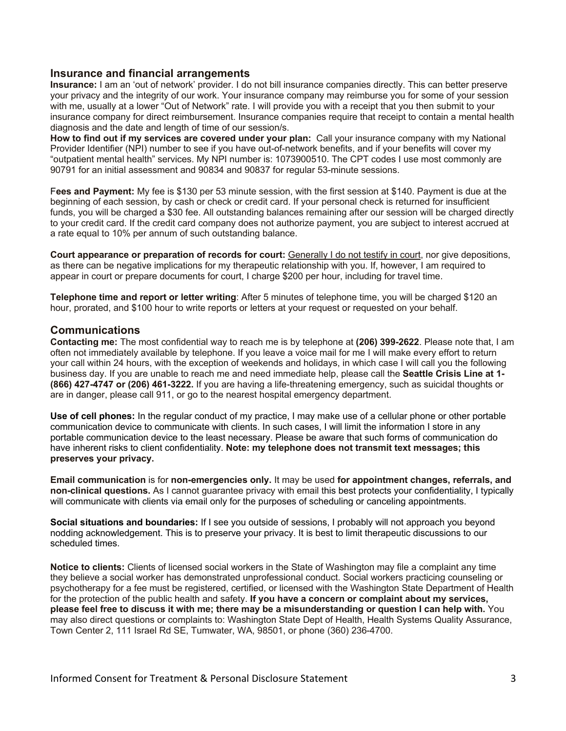#### **Insurance and financial arrangements**

**Insurance:** I am an 'out of network' provider. I do not bill insurance companies directly. This can better preserve your privacy and the integrity of our work. Your insurance company may reimburse you for some of your session with me, usually at a lower "Out of Network" rate. I will provide you with a receipt that you then submit to your insurance company for direct reimbursement. Insurance companies require that receipt to contain a mental health diagnosis and the date and length of time of our session/s.

**How to find out if my services are covered under your plan:** Call your insurance company with my National Provider Identifier (NPI) number to see if you have out-of-network benefits, and if your benefits will cover my "outpatient mental health" services. My NPI number is: 1073900510. The CPT codes I use most commonly are 90791 for an initial assessment and 90834 and 90837 for regular 53-minute sessions.

F**ees and Payment:** My fee is \$130 per 53 minute session, with the first session at \$140. Payment is due at the beginning of each session, by cash or check or credit card. If your personal check is returned for insufficient funds, you will be charged a \$30 fee. All outstanding balances remaining after our session will be charged directly to your credit card. If the credit card company does not authorize payment, you are subject to interest accrued at a rate equal to 10% per annum of such outstanding balance.

**Court appearance or preparation of records for court:** Generally I do not testify in court, nor give depositions, as there can be negative implications for my therapeutic relationship with you. If, however, I am required to appear in court or prepare documents for court, I charge \$200 per hour, including for travel time.

**Telephone time and report or letter writing**: After 5 minutes of telephone time, you will be charged \$120 an hour, prorated, and \$100 hour to write reports or letters at your request or requested on your behalf.

#### **Communications**

**Contacting me:** The most confidential way to reach me is by telephone at **(206) 399-2622**. Please note that, I am often not immediately available by telephone. If you leave a voice mail for me I will make every effort to return your call within 24 hours, with the exception of weekends and holidays, in which case I will call you the following business day. If you are unable to reach me and need immediate help, please call the **Seattle Crisis Line at 1- (866) 427-4747 or (206) 461-3222.** If you are having a life-threatening emergency, such as suicidal thoughts or are in danger, please call 911, or go to the nearest hospital emergency department.

**Use of cell phones:** In the regular conduct of my practice, I may make use of a cellular phone or other portable communication device to communicate with clients. In such cases, I will limit the information I store in any portable communication device to the least necessary. Please be aware that such forms of communication do have inherent risks to client confidentiality. **Note: my telephone does not transmit text messages; this preserves your privacy.**

**Email communication** is for **non-emergencies only.** It may be used **for appointment changes, referrals, and non-clinical questions.** As I cannot guarantee privacy with email this best protects your confidentiality, I typically will communicate with clients via email only for the purposes of scheduling or canceling appointments.

**Social situations and boundaries:** If I see you outside of sessions, I probably will not approach you beyond nodding acknowledgement. This is to preserve your privacy. It is best to limit therapeutic discussions to our scheduled times.

**Notice to clients:** Clients of licensed social workers in the State of Washington may file a complaint any time they believe a social worker has demonstrated unprofessional conduct. Social workers practicing counseling or psychotherapy for a fee must be registered, certified, or licensed with the Washington State Department of Health for the protection of the public health and safety. **If you have a concern or complaint about my services, please feel free to discuss it with me; there may be a misunderstanding or question I can help with.** You may also direct questions or complaints to: Washington State Dept of Health, Health Systems Quality Assurance, Town Center 2, 111 Israel Rd SE, Tumwater, WA, 98501, or phone (360) 236-4700.